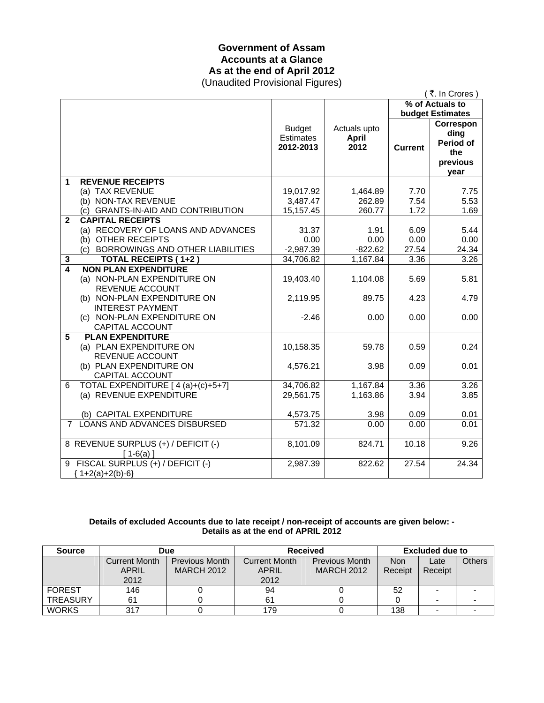## **Government of Assam Accounts at a Glance As at the end of April 2012**  (Unaudited Provisional Figures)

| (₹. In Crores)<br>% of Actuals to<br>budget Estimates<br>Correspon<br><b>Budget</b><br>Actuals upto<br>ding<br><b>Estimates</b><br><b>April</b><br>Period of<br>2012<br>2012-2013<br><b>Current</b><br>the<br>previous<br>year<br><b>REVENUE RECEIPTS</b><br>1 |
|----------------------------------------------------------------------------------------------------------------------------------------------------------------------------------------------------------------------------------------------------------------|
|                                                                                                                                                                                                                                                                |
|                                                                                                                                                                                                                                                                |
|                                                                                                                                                                                                                                                                |
|                                                                                                                                                                                                                                                                |
|                                                                                                                                                                                                                                                                |
|                                                                                                                                                                                                                                                                |
|                                                                                                                                                                                                                                                                |
|                                                                                                                                                                                                                                                                |
| (a) TAX REVENUE<br>19,017.92<br>1,464.89<br>7.70<br>7.75                                                                                                                                                                                                       |
| (b) NON-TAX REVENUE<br>3,487.47<br>262.89<br>7.54<br>5.53                                                                                                                                                                                                      |
| (c) GRANTS-IN-AID AND CONTRIBUTION<br>1.72<br>1.69<br>15,157.45<br>260.77                                                                                                                                                                                      |
| <b>CAPITAL RECEIPTS</b><br>$\mathbf{2}$                                                                                                                                                                                                                        |
| (a) RECOVERY OF LOANS AND ADVANCES<br>31.37<br>1.91<br>6.09<br>5.44                                                                                                                                                                                            |
| (b) OTHER RECEIPTS<br>0.00<br>0.00<br>0.00<br>0.00                                                                                                                                                                                                             |
| (c) BORROWINGS AND OTHER LIABILITIES<br>$-2,987.39$<br>$-822.62$<br>27.54<br>24.34                                                                                                                                                                             |
| 34,706.82<br>1,167.84<br>3.26<br><b>TOTAL RECEIPTS (1+2)</b><br>3.36<br>3                                                                                                                                                                                      |
| $\boldsymbol{4}$<br><b>NON PLAN EXPENDITURE</b>                                                                                                                                                                                                                |
| (a) NON-PLAN EXPENDITURE ON<br>19,403.40<br>1,104.08<br>5.69<br>5.81                                                                                                                                                                                           |
| REVENUE ACCOUNT                                                                                                                                                                                                                                                |
| (b) NON-PLAN EXPENDITURE ON<br>2,119.95<br>89.75<br>4.23<br>4.79                                                                                                                                                                                               |
| <b>INTEREST PAYMENT</b>                                                                                                                                                                                                                                        |
| (c) NON-PLAN EXPENDITURE ON<br>$-2.46$<br>0.00<br>0.00<br>0.00                                                                                                                                                                                                 |
| CAPITAL ACCOUNT                                                                                                                                                                                                                                                |
| 5<br><b>PLAN EXPENDITURE</b>                                                                                                                                                                                                                                   |
| (a) PLAN EXPENDITURE ON<br>10,158.35<br>0.59<br>0.24<br>59.78                                                                                                                                                                                                  |
| REVENUE ACCOUNT                                                                                                                                                                                                                                                |
| (b) PLAN EXPENDITURE ON<br>4,576.21<br>3.98<br>0.09<br>0.01                                                                                                                                                                                                    |
| CAPITAL ACCOUNT                                                                                                                                                                                                                                                |
| TOTAL EXPENDITURE [ 4 (a)+(c)+5+7]<br>34,706.82<br>1,167.84<br>3.26<br>3.36<br>6                                                                                                                                                                               |
| (a) REVENUE EXPENDITURE<br>1,163.86<br>29,561.75<br>3.94<br>3.85                                                                                                                                                                                               |
| 0.01                                                                                                                                                                                                                                                           |
| (b) CAPITAL EXPENDITURE<br>4,573.75<br>3.98<br>0.09<br>LOANS AND ADVANCES DISBURSED<br>571.32<br>$7^{\circ}$                                                                                                                                                   |
| 0.00<br>0.00<br>0.01                                                                                                                                                                                                                                           |
| 8 REVENUE SURPLUS (+) / DEFICIT (-)<br>824.71<br>10.18<br>9.26<br>8,101.09                                                                                                                                                                                     |
| $[1-6(a)]$                                                                                                                                                                                                                                                     |
| 9 FISCAL SURPLUS (+) / DEFICIT (-)<br>2,987.39<br>822.62<br>27.54<br>24.34                                                                                                                                                                                     |
| ${1+2(a)+2(b)-6}$                                                                                                                                                                                                                                              |

### **Details of excluded Accounts due to late receipt / non-receipt of accounts are given below: - Details as at the end of APRIL 2012**

| <b>Source</b>   | Due                  |                       | <b>Received</b>      |                       | <b>Excluded due to</b> |                          |        |
|-----------------|----------------------|-----------------------|----------------------|-----------------------|------------------------|--------------------------|--------|
|                 | <b>Current Month</b> | <b>Previous Month</b> | <b>Current Month</b> | <b>Previous Month</b> | <b>Non</b>             | Late                     | Others |
|                 | <b>APRIL</b>         | <b>MARCH 2012</b>     | <b>APRIL</b>         | <b>MARCH 2012</b>     | Receipt                | Receipt                  |        |
|                 | 2012                 |                       | 2012                 |                       |                        |                          |        |
| <b>FOREST</b>   | 146                  |                       | 94                   |                       | 52                     |                          |        |
| <b>TREASURY</b> | 61                   |                       | 61                   |                       |                        | $\overline{\phantom{0}}$ |        |
| <b>WORKS</b>    | 317                  |                       | 179                  |                       | 138                    |                          |        |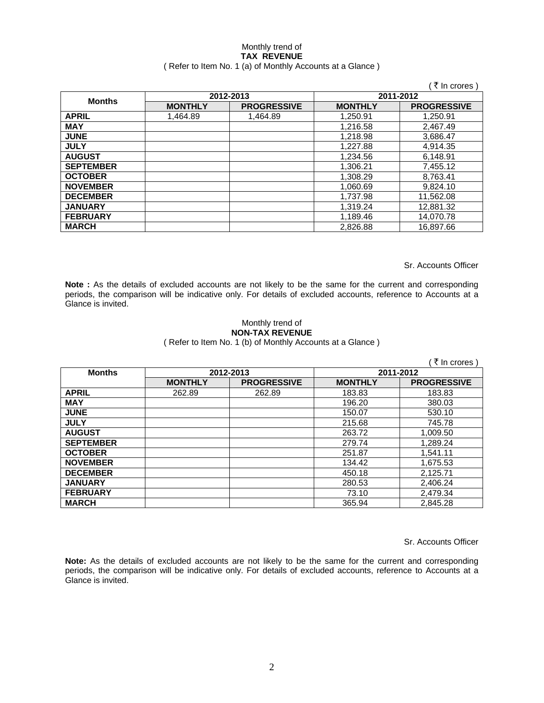#### Monthly trend of **TAX REVENUE**  ( Refer to Item No. 1 (a) of Monthly Accounts at a Glance )

|                  |                |                    |                | ₹ In crores )      |
|------------------|----------------|--------------------|----------------|--------------------|
| <b>Months</b>    |                | 2012-2013          |                | 2011-2012          |
|                  | <b>MONTHLY</b> | <b>PROGRESSIVE</b> | <b>MONTHLY</b> | <b>PROGRESSIVE</b> |
| <b>APRIL</b>     | 1,464.89       | 1,464.89           | 1,250.91       | 1,250.91           |
| <b>MAY</b>       |                |                    | 1,216.58       | 2,467.49           |
| <b>JUNE</b>      |                |                    | 1,218.98       | 3,686.47           |
| <b>JULY</b>      |                |                    | 1.227.88       | 4.914.35           |
| <b>AUGUST</b>    |                |                    | 1,234.56       | 6,148.91           |
| <b>SEPTEMBER</b> |                |                    | 1,306.21       | 7,455.12           |
| <b>OCTOBER</b>   |                |                    | 1,308.29       | 8,763.41           |
| <b>NOVEMBER</b>  |                |                    | 1,060.69       | 9,824.10           |
| <b>DECEMBER</b>  |                |                    | 1,737.98       | 11,562.08          |
| <b>JANUARY</b>   |                |                    | 1,319.24       | 12,881.32          |
| <b>FEBRUARY</b>  |                |                    | 1,189.46       | 14,070.78          |
| <b>MARCH</b>     |                |                    | 2.826.88       | 16,897.66          |

Sr. Accounts Officer

**Note :** As the details of excluded accounts are not likely to be the same for the current and corresponding periods, the comparison will be indicative only. For details of excluded accounts, reference to Accounts at a Glance is invited.

### Monthly trend of **NON-TAX REVENUE**

( Refer to Item No. 1 (b) of Monthly Accounts at a Glance )

|                  |                |                    |                | (₹ In crores)      |
|------------------|----------------|--------------------|----------------|--------------------|
| <b>Months</b>    |                | 2012-2013          | 2011-2012      |                    |
|                  | <b>MONTHLY</b> | <b>PROGRESSIVE</b> | <b>MONTHLY</b> | <b>PROGRESSIVE</b> |
| <b>APRIL</b>     | 262.89         | 262.89             | 183.83         | 183.83             |
| <b>MAY</b>       |                |                    | 196.20         | 380.03             |
| <b>JUNE</b>      |                |                    | 150.07         | 530.10             |
| <b>JULY</b>      |                |                    | 215.68         | 745.78             |
| <b>AUGUST</b>    |                |                    | 263.72         | 1,009.50           |
| <b>SEPTEMBER</b> |                |                    | 279.74         | 1.289.24           |
| <b>OCTOBER</b>   |                |                    | 251.87         | 1,541.11           |
| <b>NOVEMBER</b>  |                |                    | 134.42         | 1,675.53           |
| <b>DECEMBER</b>  |                |                    | 450.18         | 2,125.71           |
| <b>JANUARY</b>   |                |                    | 280.53         | 2,406.24           |
| <b>FEBRUARY</b>  |                |                    | 73.10          | 2,479.34           |
| <b>MARCH</b>     |                |                    | 365.94         | 2,845.28           |

Sr. Accounts Officer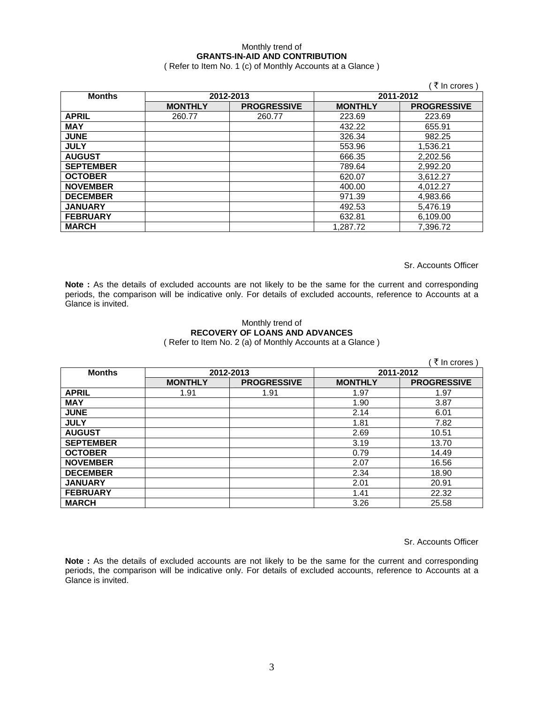# Monthly trend of **GRANTS-IN-AID AND CONTRIBUTION**

( Refer to Item No. 1 (c) of Monthly Accounts at a Glance )

|                  |                |                    |                | ₹ In crores )      |  |           |
|------------------|----------------|--------------------|----------------|--------------------|--|-----------|
| <b>Months</b>    | 2012-2013      |                    |                |                    |  | 2011-2012 |
|                  | <b>MONTHLY</b> | <b>PROGRESSIVE</b> | <b>MONTHLY</b> | <b>PROGRESSIVE</b> |  |           |
| <b>APRIL</b>     | 260.77         | 260.77             | 223.69         | 223.69             |  |           |
| <b>MAY</b>       |                |                    | 432.22         | 655.91             |  |           |
| <b>JUNE</b>      |                |                    | 326.34         | 982.25             |  |           |
| <b>JULY</b>      |                |                    | 553.96         | 1,536.21           |  |           |
| <b>AUGUST</b>    |                |                    | 666.35         | 2,202.56           |  |           |
| <b>SEPTEMBER</b> |                |                    | 789.64         | 2,992.20           |  |           |
| <b>OCTOBER</b>   |                |                    | 620.07         | 3,612.27           |  |           |
| <b>NOVEMBER</b>  |                |                    | 400.00         | 4,012.27           |  |           |
| <b>DECEMBER</b>  |                |                    | 971.39         | 4,983.66           |  |           |
| <b>JANUARY</b>   |                |                    | 492.53         | 5,476.19           |  |           |
| <b>FEBRUARY</b>  |                |                    | 632.81         | 6,109.00           |  |           |
| <b>MARCH</b>     |                |                    | 1.287.72       | 7.396.72           |  |           |

Sr. Accounts Officer

**Note :** As the details of excluded accounts are not likely to be the same for the current and corresponding periods, the comparison will be indicative only. For details of excluded accounts, reference to Accounts at a Glance is invited.

### Monthly trend of **RECOVERY OF LOANS AND ADVANCES**  ( Refer to Item No. 2 (a) of Monthly Accounts at a Glance )

|                  |                |                    |                | ़ ₹ In crores )    |
|------------------|----------------|--------------------|----------------|--------------------|
| <b>Months</b>    |                | 2012-2013          | 2011-2012      |                    |
|                  | <b>MONTHLY</b> | <b>PROGRESSIVE</b> | <b>MONTHLY</b> | <b>PROGRESSIVE</b> |
| <b>APRIL</b>     | 1.91           | 1.91               | 1.97           | 1.97               |
| <b>MAY</b>       |                |                    | 1.90           | 3.87               |
| <b>JUNE</b>      |                |                    | 2.14           | 6.01               |
| <b>JULY</b>      |                |                    | 1.81           | 7.82               |
| <b>AUGUST</b>    |                |                    | 2.69           | 10.51              |
| <b>SEPTEMBER</b> |                |                    | 3.19           | 13.70              |
| <b>OCTOBER</b>   |                |                    | 0.79           | 14.49              |
| <b>NOVEMBER</b>  |                |                    | 2.07           | 16.56              |
| <b>DECEMBER</b>  |                |                    | 2.34           | 18.90              |
| <b>JANUARY</b>   |                |                    | 2.01           | 20.91              |
| <b>FEBRUARY</b>  |                |                    | 1.41           | 22.32              |
| <b>MARCH</b>     |                |                    | 3.26           | 25.58              |

Sr. Accounts Officer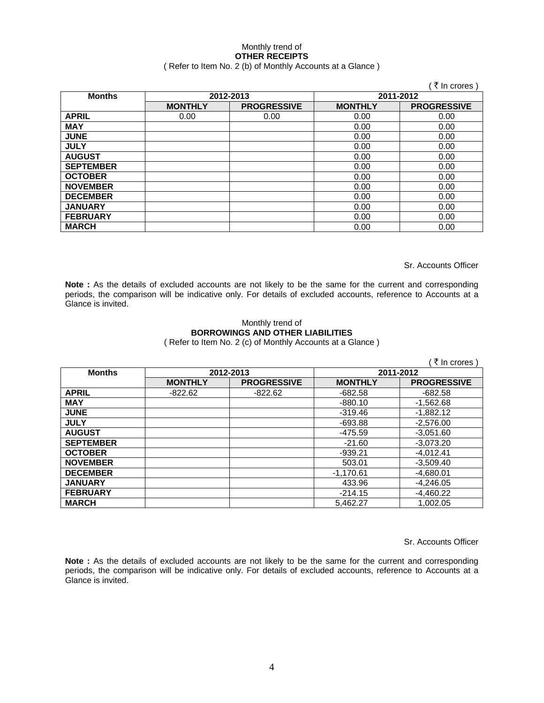# Monthly trend of **OTHER RECEIPTS**

# ( Refer to Item No. 2 (b) of Monthly Accounts at a Glance )

|                  |                |                    |                | ∶ ₹ In crores )    |           |  |
|------------------|----------------|--------------------|----------------|--------------------|-----------|--|
| <b>Months</b>    | 2012-2013      |                    |                |                    | 2011-2012 |  |
|                  | <b>MONTHLY</b> | <b>PROGRESSIVE</b> | <b>MONTHLY</b> | <b>PROGRESSIVE</b> |           |  |
| <b>APRIL</b>     | 0.00           | 0.00               | 0.00           | 0.00               |           |  |
| <b>MAY</b>       |                |                    | 0.00           | 0.00               |           |  |
| <b>JUNE</b>      |                |                    | 0.00           | 0.00               |           |  |
| <b>JULY</b>      |                |                    | 0.00           | 0.00               |           |  |
| <b>AUGUST</b>    |                |                    | 0.00           | 0.00               |           |  |
| <b>SEPTEMBER</b> |                |                    | 0.00           | 0.00               |           |  |
| <b>OCTOBER</b>   |                |                    | 0.00           | 0.00               |           |  |
| <b>NOVEMBER</b>  |                |                    | 0.00           | 0.00               |           |  |
| <b>DECEMBER</b>  |                |                    | 0.00           | 0.00               |           |  |
| <b>JANUARY</b>   |                |                    | 0.00           | 0.00               |           |  |
| <b>FEBRUARY</b>  |                |                    | 0.00           | 0.00               |           |  |
| <b>MARCH</b>     |                |                    | 0.00           | 0.00               |           |  |

Sr. Accounts Officer

Note : As the details of excluded accounts are not likely to be the same for the current and corresponding periods, the comparison will be indicative only. For details of excluded accounts, reference to Accounts at a Glance is invited.

# Monthly trend of **BORROWINGS AND OTHER LIABILITIES**

( Refer to Item No. 2 (c) of Monthly Accounts at a Glance )

|                  |                |                    |                | ं ₹ In crores )    |
|------------------|----------------|--------------------|----------------|--------------------|
| <b>Months</b>    |                | 2012-2013          | 2011-2012      |                    |
|                  | <b>MONTHLY</b> | <b>PROGRESSIVE</b> | <b>MONTHLY</b> | <b>PROGRESSIVE</b> |
| <b>APRIL</b>     | $-822.62$      | $-822.62$          | $-682.58$      | $-682.58$          |
| <b>MAY</b>       |                |                    | $-880.10$      | $-1,562.68$        |
| <b>JUNE</b>      |                |                    | $-319.46$      | $-1.882.12$        |
| <b>JULY</b>      |                |                    | $-693.88$      | $-2,576.00$        |
| <b>AUGUST</b>    |                |                    | $-475.59$      | $-3,051.60$        |
| <b>SEPTEMBER</b> |                |                    | $-21.60$       | $-3,073.20$        |
| <b>OCTOBER</b>   |                |                    | $-939.21$      | $-4,012.41$        |
| <b>NOVEMBER</b>  |                |                    | 503.01         | $-3,509.40$        |
| <b>DECEMBER</b>  |                |                    | $-1,170.61$    | $-4,680.01$        |
| <b>JANUARY</b>   |                |                    | 433.96         | $-4,246.05$        |
| <b>FEBRUARY</b>  |                |                    | $-214.15$      | $-4,460.22$        |
| <b>MARCH</b>     |                |                    | 5,462.27       | 1,002.05           |

Sr. Accounts Officer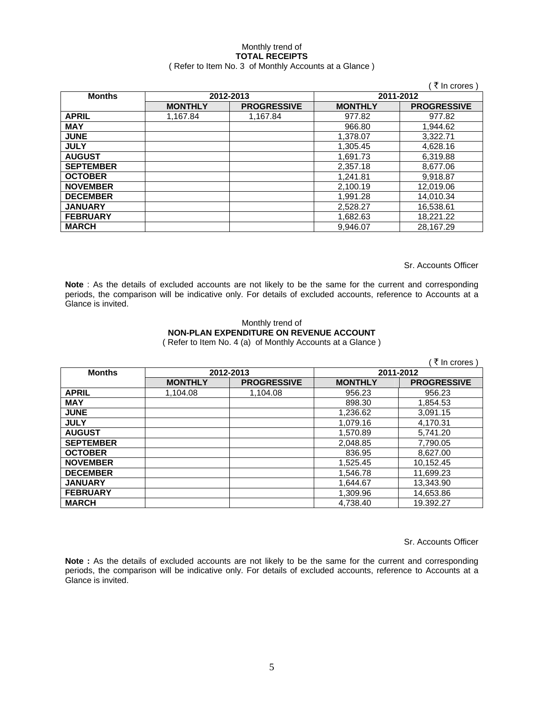# Monthly trend of **TOTAL RECEIPTS**

### ( Refer to Item No. 3 of Monthly Accounts at a Glance )

|                  |                |                    |                | ₹ In crores        |
|------------------|----------------|--------------------|----------------|--------------------|
| <b>Months</b>    |                | 2012-2013          | 2011-2012      |                    |
|                  | <b>MONTHLY</b> | <b>PROGRESSIVE</b> | <b>MONTHLY</b> | <b>PROGRESSIVE</b> |
| <b>APRIL</b>     | 1,167.84       | 1,167.84           | 977.82         | 977.82             |
| <b>MAY</b>       |                |                    | 966.80         | 1.944.62           |
| <b>JUNE</b>      |                |                    | 1.378.07       | 3,322.71           |
| <b>JULY</b>      |                |                    | 1,305.45       | 4,628.16           |
| <b>AUGUST</b>    |                |                    | 1,691.73       | 6,319.88           |
| <b>SEPTEMBER</b> |                |                    | 2,357.18       | 8,677.06           |
| <b>OCTOBER</b>   |                |                    | 1.241.81       | 9,918.87           |
| <b>NOVEMBER</b>  |                |                    | 2,100.19       | 12,019.06          |
| <b>DECEMBER</b>  |                |                    | 1,991.28       | 14.010.34          |
| <b>JANUARY</b>   |                |                    | 2,528.27       | 16,538.61          |
| <b>FEBRUARY</b>  |                |                    | 1,682.63       | 18,221.22          |
| <b>MARCH</b>     |                |                    | 9.946.07       | 28.167.29          |

Sr. Accounts Officer

**Note** : As the details of excluded accounts are not likely to be the same for the current and corresponding periods, the comparison will be indicative only. For details of excluded accounts, reference to Accounts at a Glance is invited.

### Monthly trend of **NON-PLAN EXPENDITURE ON REVENUE ACCOUNT**  ( Refer to Item No. 4 (a) of Monthly Accounts at a Glance )

|                  |                |                    |                | ∶ ₹ In crores )    |
|------------------|----------------|--------------------|----------------|--------------------|
| <b>Months</b>    | 2012-2013      |                    |                | 2011-2012          |
|                  | <b>MONTHLY</b> | <b>PROGRESSIVE</b> | <b>MONTHLY</b> | <b>PROGRESSIVE</b> |
| <b>APRIL</b>     | 1.104.08       | 1,104.08           | 956.23         | 956.23             |
| <b>MAY</b>       |                |                    | 898.30         | 1,854.53           |
| <b>JUNE</b>      |                |                    | 1,236.62       | 3,091.15           |
| <b>JULY</b>      |                |                    | 1,079.16       | 4.170.31           |
| <b>AUGUST</b>    |                |                    | 1,570.89       | 5,741.20           |
| <b>SEPTEMBER</b> |                |                    | 2,048.85       | 7,790.05           |
| <b>OCTOBER</b>   |                |                    | 836.95         | 8,627.00           |
| <b>NOVEMBER</b>  |                |                    | 1,525.45       | 10,152.45          |
| <b>DECEMBER</b>  |                |                    | 1,546.78       | 11,699.23          |
| <b>JANUARY</b>   |                |                    | 1,644.67       | 13.343.90          |
| <b>FEBRUARY</b>  |                |                    | 1,309.96       | 14,653.86          |
| <b>MARCH</b>     |                |                    | 4,738.40       | 19.392.27          |

Sr. Accounts Officer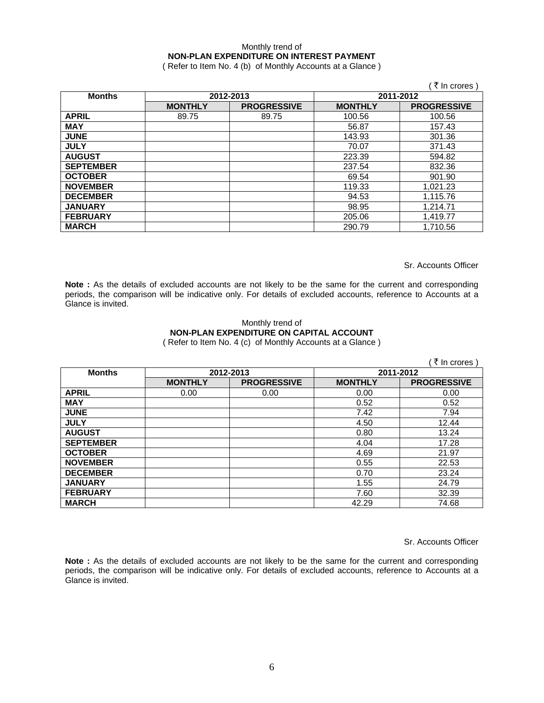## Monthly trend of **NON-PLAN EXPENDITURE ON INTEREST PAYMENT**

( Refer to Item No. 4 (b) of Monthly Accounts at a Glance )

|                  |                |                    |                | ₹ In crores )      |
|------------------|----------------|--------------------|----------------|--------------------|
| <b>Months</b>    | 2012-2013      |                    | 2011-2012      |                    |
|                  | <b>MONTHLY</b> | <b>PROGRESSIVE</b> | <b>MONTHLY</b> | <b>PROGRESSIVE</b> |
| <b>APRIL</b>     | 89.75          | 89.75              | 100.56         | 100.56             |
| <b>MAY</b>       |                |                    | 56.87          | 157.43             |
| <b>JUNE</b>      |                |                    | 143.93         | 301.36             |
| <b>JULY</b>      |                |                    | 70.07          | 371.43             |
| <b>AUGUST</b>    |                |                    | 223.39         | 594.82             |
| <b>SEPTEMBER</b> |                |                    | 237.54         | 832.36             |
| <b>OCTOBER</b>   |                |                    | 69.54          | 901.90             |
| <b>NOVEMBER</b>  |                |                    | 119.33         | 1,021.23           |
| <b>DECEMBER</b>  |                |                    | 94.53          | 1,115.76           |
| <b>JANUARY</b>   |                |                    | 98.95          | 1,214.71           |
| <b>FEBRUARY</b>  |                |                    | 205.06         | 1,419.77           |
| <b>MARCH</b>     |                |                    | 290.79         | 1,710.56           |

Sr. Accounts Officer

Note : As the details of excluded accounts are not likely to be the same for the current and corresponding periods, the comparison will be indicative only. For details of excluded accounts, reference to Accounts at a Glance is invited.

# Monthly trend of **NON-PLAN EXPENDITURE ON CAPITAL ACCOUNT**

( Refer to Item No. 4 (c) of Monthly Accounts at a Glance )

|                  |                |                    |                | ∶ ₹ In crores )    |
|------------------|----------------|--------------------|----------------|--------------------|
| <b>Months</b>    |                | 2012-2013          | 2011-2012      |                    |
|                  | <b>MONTHLY</b> | <b>PROGRESSIVE</b> | <b>MONTHLY</b> | <b>PROGRESSIVE</b> |
| <b>APRIL</b>     | 0.00           | 0.00               | 0.00           | 0.00               |
| <b>MAY</b>       |                |                    | 0.52           | 0.52               |
| <b>JUNE</b>      |                |                    | 7.42           | 7.94               |
| <b>JULY</b>      |                |                    | 4.50           | 12.44              |
| <b>AUGUST</b>    |                |                    | 0.80           | 13.24              |
| <b>SEPTEMBER</b> |                |                    | 4.04           | 17.28              |
| <b>OCTOBER</b>   |                |                    | 4.69           | 21.97              |
| <b>NOVEMBER</b>  |                |                    | 0.55           | 22.53              |
| <b>DECEMBER</b>  |                |                    | 0.70           | 23.24              |
| <b>JANUARY</b>   |                |                    | 1.55           | 24.79              |
| <b>FEBRUARY</b>  |                |                    | 7.60           | 32.39              |
| <b>MARCH</b>     |                |                    | 42.29          | 74.68              |

Sr. Accounts Officer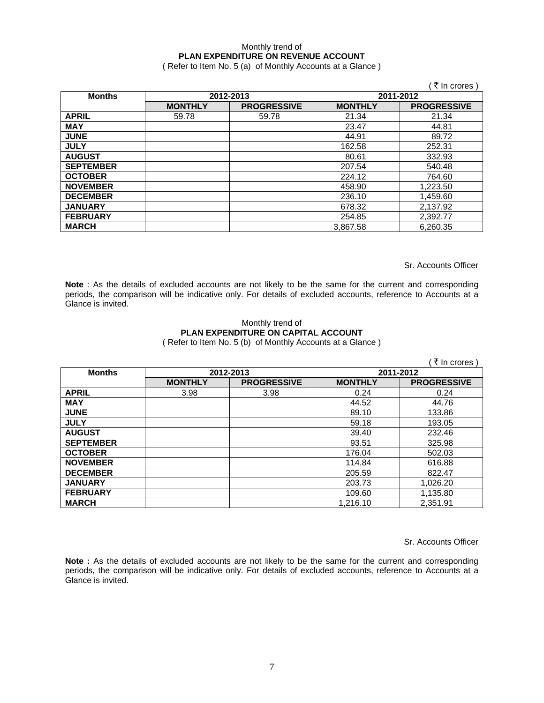## Monthly trend of **PLAN EXPENDITURE ON REVENUE ACCOUNT**

( Refer to Item No. 5 (a) of Monthly Accounts at a Glance )

|                  |                |                    |                | ₹ In crores)       |
|------------------|----------------|--------------------|----------------|--------------------|
| <b>Months</b>    | 2012-2013      |                    | 2011-2012      |                    |
|                  | <b>MONTHLY</b> | <b>PROGRESSIVE</b> | <b>MONTHLY</b> | <b>PROGRESSIVE</b> |
| <b>APRIL</b>     | 59.78          | 59.78              | 21.34          | 21.34              |
| <b>MAY</b>       |                |                    | 23.47          | 44.81              |
| <b>JUNE</b>      |                |                    | 44.91          | 89.72              |
| <b>JULY</b>      |                |                    | 162.58         | 252.31             |
| <b>AUGUST</b>    |                |                    | 80.61          | 332.93             |
| <b>SEPTEMBER</b> |                |                    | 207.54         | 540.48             |
| <b>OCTOBER</b>   |                |                    | 224.12         | 764.60             |
| <b>NOVEMBER</b>  |                |                    | 458.90         | 1,223.50           |
| <b>DECEMBER</b>  |                |                    | 236.10         | 1,459.60           |
| <b>JANUARY</b>   |                |                    | 678.32         | 2,137.92           |
| <b>FEBRUARY</b>  |                |                    | 254.85         | 2,392.77           |
| <b>MARCH</b>     |                |                    | 3.867.58       | 6.260.35           |

Sr. Accounts Officer

**Note** : As the details of excluded accounts are not likely to be the same for the current and corresponding periods, the comparison will be indicative only. For details of excluded accounts, reference to Accounts at a Glance is invited.

### Monthly trend of **PLAN EXPENDITURE ON CAPITAL ACCOUNT**  ( Refer to Item No. 5 (b) of Monthly Accounts at a Glance )

|                  |                |                    |                | ∶ ₹ In crores )    |
|------------------|----------------|--------------------|----------------|--------------------|
| <b>Months</b>    | 2012-2013      |                    | 2011-2012      |                    |
|                  | <b>MONTHLY</b> | <b>PROGRESSIVE</b> | <b>MONTHLY</b> | <b>PROGRESSIVE</b> |
| <b>APRIL</b>     | 3.98           | 3.98               | 0.24           | 0.24               |
| <b>MAY</b>       |                |                    | 44.52          | 44.76              |
| <b>JUNE</b>      |                |                    | 89.10          | 133.86             |
| <b>JULY</b>      |                |                    | 59.18          | 193.05             |
| <b>AUGUST</b>    |                |                    | 39.40          | 232.46             |
| <b>SEPTEMBER</b> |                |                    | 93.51          | 325.98             |
| <b>OCTOBER</b>   |                |                    | 176.04         | 502.03             |
| <b>NOVEMBER</b>  |                |                    | 114.84         | 616.88             |
| <b>DECEMBER</b>  |                |                    | 205.59         | 822.47             |
| <b>JANUARY</b>   |                |                    | 203.73         | 1,026.20           |
| <b>FEBRUARY</b>  |                |                    | 109.60         | 1,135.80           |
| <b>MARCH</b>     |                |                    | 1,216.10       | 2,351.91           |

Sr. Accounts Officer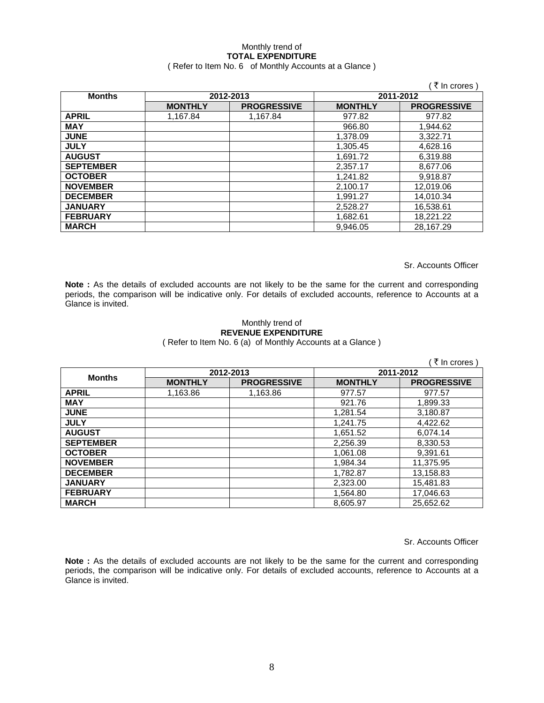# Monthly trend of **TOTAL EXPENDITURE**

## ( Refer to Item No. 6 of Monthly Accounts at a Glance )

|                  |                |                    |                | ₹ In crores        |
|------------------|----------------|--------------------|----------------|--------------------|
| <b>Months</b>    | 2012-2013      |                    | 2011-2012      |                    |
|                  | <b>MONTHLY</b> | <b>PROGRESSIVE</b> | <b>MONTHLY</b> | <b>PROGRESSIVE</b> |
| <b>APRIL</b>     | 1,167.84       | 1,167.84           | 977.82         | 977.82             |
| <b>MAY</b>       |                |                    | 966.80         | 1.944.62           |
| <b>JUNE</b>      |                |                    | 1,378.09       | 3.322.71           |
| <b>JULY</b>      |                |                    | 1,305.45       | 4,628.16           |
| <b>AUGUST</b>    |                |                    | 1,691.72       | 6,319.88           |
| <b>SEPTEMBER</b> |                |                    | 2,357.17       | 8,677.06           |
| <b>OCTOBER</b>   |                |                    | 1,241.82       | 9,918.87           |
| <b>NOVEMBER</b>  |                |                    | 2,100.17       | 12,019.06          |
| <b>DECEMBER</b>  |                |                    | 1,991.27       | 14,010.34          |
| <b>JANUARY</b>   |                |                    | 2,528.27       | 16,538.61          |
| <b>FEBRUARY</b>  |                |                    | 1,682.61       | 18,221.22          |
| <b>MARCH</b>     |                |                    | 9.946.05       | 28,167.29          |

Sr. Accounts Officer

**Note :** As the details of excluded accounts are not likely to be the same for the current and corresponding periods, the comparison will be indicative only. For details of excluded accounts, reference to Accounts at a Glance is invited.

### Monthly trend of **REVENUE EXPENDITURE**  ( Refer to Item No. 6 (a) of Monthly Accounts at a Glance )

|                  |                |                    |                | ं ₹ In crores )    |  |
|------------------|----------------|--------------------|----------------|--------------------|--|
| <b>Months</b>    | 2012-2013      |                    |                | 2011-2012          |  |
|                  | <b>MONTHLY</b> | <b>PROGRESSIVE</b> | <b>MONTHLY</b> | <b>PROGRESSIVE</b> |  |
| <b>APRIL</b>     | 1,163.86       | 1,163.86           | 977.57         | 977.57             |  |
| <b>MAY</b>       |                |                    | 921.76         | 1,899.33           |  |
| <b>JUNE</b>      |                |                    | 1,281.54       | 3,180.87           |  |
| <b>JULY</b>      |                |                    | 1,241.75       | 4,422.62           |  |
| <b>AUGUST</b>    |                |                    | 1,651.52       | 6,074.14           |  |
| <b>SEPTEMBER</b> |                |                    | 2,256.39       | 8,330.53           |  |
| <b>OCTOBER</b>   |                |                    | 1,061.08       | 9,391.61           |  |
| <b>NOVEMBER</b>  |                |                    | 1,984.34       | 11,375.95          |  |
| <b>DECEMBER</b>  |                |                    | 1,782.87       | 13,158.83          |  |
| <b>JANUARY</b>   |                |                    | 2.323.00       | 15.481.83          |  |
| <b>FEBRUARY</b>  |                |                    | 1,564.80       | 17,046.63          |  |
| <b>MARCH</b>     |                |                    | 8.605.97       | 25,652.62          |  |

Sr. Accounts Officer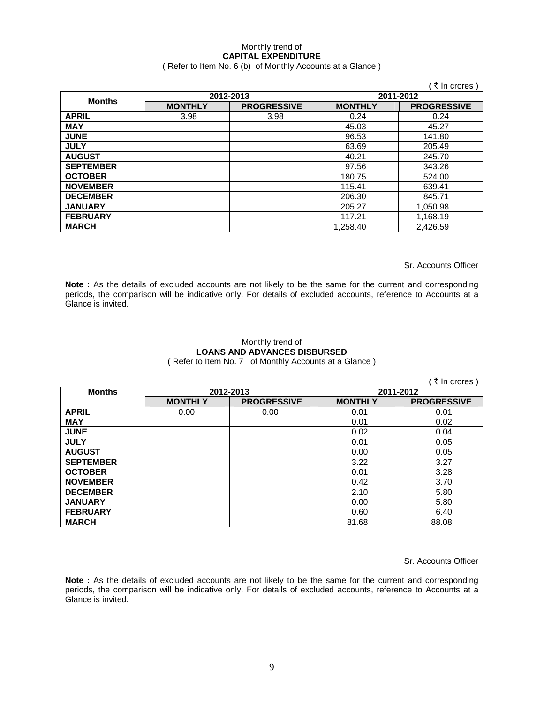# Monthly trend of **CAPITAL EXPENDITURE**

## ( Refer to Item No. 6 (b) of Monthly Accounts at a Glance )

|                  |                |                    |                | ₹ In crores        |
|------------------|----------------|--------------------|----------------|--------------------|
| <b>Months</b>    | 2012-2013      |                    | 2011-2012      |                    |
|                  | <b>MONTHLY</b> | <b>PROGRESSIVE</b> | <b>MONTHLY</b> | <b>PROGRESSIVE</b> |
| <b>APRIL</b>     | 3.98           | 3.98               | 0.24           | 0.24               |
| <b>MAY</b>       |                |                    | 45.03          | 45.27              |
| <b>JUNE</b>      |                |                    | 96.53          | 141.80             |
| <b>JULY</b>      |                |                    | 63.69          | 205.49             |
| <b>AUGUST</b>    |                |                    | 40.21          | 245.70             |
| <b>SEPTEMBER</b> |                |                    | 97.56          | 343.26             |
| <b>OCTOBER</b>   |                |                    | 180.75         | 524.00             |
| <b>NOVEMBER</b>  |                |                    | 115.41         | 639.41             |
| <b>DECEMBER</b>  |                |                    | 206.30         | 845.71             |
| <b>JANUARY</b>   |                |                    | 205.27         | 1,050.98           |
| <b>FEBRUARY</b>  |                |                    | 117.21         | 1,168.19           |
| <b>MARCH</b>     |                |                    | 1.258.40       | 2.426.59           |

Sr. Accounts Officer

**Note :** As the details of excluded accounts are not likely to be the same for the current and corresponding periods, the comparison will be indicative only. For details of excluded accounts, reference to Accounts at a Glance is invited.

# Monthly trend of **LOANS AND ADVANCES DISBURSED**

( Refer to Item No. 7 of Monthly Accounts at a Glance )

|                  |                |                    |                | ( ₹ In crores )    |
|------------------|----------------|--------------------|----------------|--------------------|
| <b>Months</b>    | 2012-2013      |                    | 2011-2012      |                    |
|                  | <b>MONTHLY</b> | <b>PROGRESSIVE</b> | <b>MONTHLY</b> | <b>PROGRESSIVE</b> |
| <b>APRIL</b>     | 0.00           | 0.00               | 0.01           | 0.01               |
| <b>MAY</b>       |                |                    | 0.01           | 0.02               |
| <b>JUNE</b>      |                |                    | 0.02           | 0.04               |
| <b>JULY</b>      |                |                    | 0.01           | 0.05               |
| <b>AUGUST</b>    |                |                    | 0.00           | 0.05               |
| <b>SEPTEMBER</b> |                |                    | 3.22           | 3.27               |
| <b>OCTOBER</b>   |                |                    | 0.01           | 3.28               |
| <b>NOVEMBER</b>  |                |                    | 0.42           | 3.70               |
| <b>DECEMBER</b>  |                |                    | 2.10           | 5.80               |
| <b>JANUARY</b>   |                |                    | 0.00           | 5.80               |
| <b>FEBRUARY</b>  |                |                    | 0.60           | 6.40               |
| <b>MARCH</b>     |                |                    | 81.68          | 88.08              |

Sr. Accounts Officer